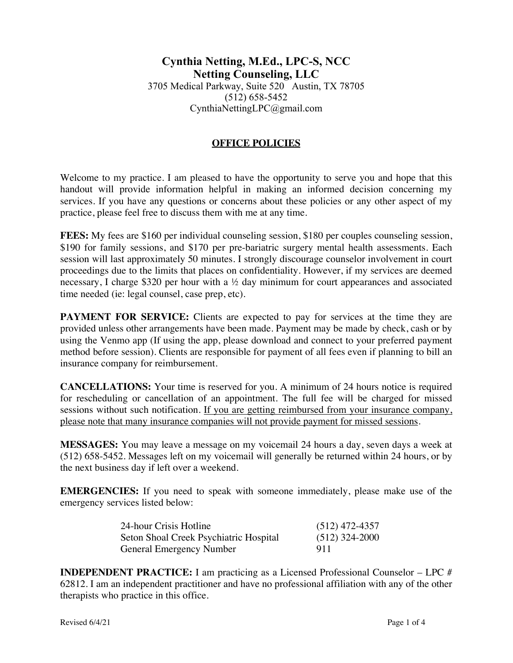## **OFFICE POLICIES**

Welcome to my practice. I am pleased to have the opportunity to serve you and hope that this handout will provide information helpful in making an informed decision concerning my services. If you have any questions or concerns about these policies or any other aspect of my practice, please feel free to discuss them with me at any time.

**FEES:** My fees are \$160 per individual counseling session, \$180 per couples counseling session, \$190 for family sessions, and \$170 per pre-bariatric surgery mental health assessments. Each session will last approximately 50 minutes. I strongly discourage counselor involvement in court proceedings due to the limits that places on confidentiality. However, if my services are deemed necessary, I charge \$320 per hour with a ½ day minimum for court appearances and associated time needed (ie: legal counsel, case prep, etc).

**PAYMENT FOR SERVICE:** Clients are expected to pay for services at the time they are provided unless other arrangements have been made. Payment may be made by check, cash or by using the Venmo app (If using the app, please download and connect to your preferred payment method before session). Clients are responsible for payment of all fees even if planning to bill an insurance company for reimbursement.

**CANCELLATIONS:** Your time is reserved for you. A minimum of 24 hours notice is required for rescheduling or cancellation of an appointment. The full fee will be charged for missed sessions without such notification. If you are getting reimbursed from your insurance company, please note that many insurance companies will not provide payment for missed sessions.

**MESSAGES:** You may leave a message on my voicemail 24 hours a day, seven days a week at (512) 658-5452. Messages left on my voicemail will generally be returned within 24 hours, or by the next business day if left over a weekend.

**EMERGENCIES:** If you need to speak with someone immediately, please make use of the emergency services listed below:

| 24-hour Crisis Hotline                 | $(512)$ 472-4357 |
|----------------------------------------|------------------|
| Seton Shoal Creek Psychiatric Hospital | $(512)$ 324-2000 |
| <b>General Emergency Number</b>        | 911              |

**INDEPENDENT PRACTICE:** I am practicing as a Licensed Professional Counselor – LPC # 62812. I am an independent practitioner and have no professional affiliation with any of the other therapists who practice in this office.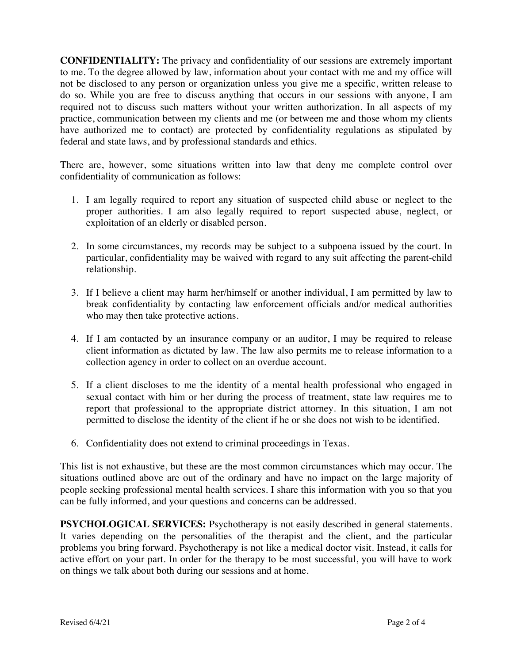**CONFIDENTIALITY:** The privacy and confidentiality of our sessions are extremely important to me. To the degree allowed by law, information about your contact with me and my office will not be disclosed to any person or organization unless you give me a specific, written release to do so. While you are free to discuss anything that occurs in our sessions with anyone, I am required not to discuss such matters without your written authorization. In all aspects of my practice, communication between my clients and me (or between me and those whom my clients have authorized me to contact) are protected by confidentiality regulations as stipulated by federal and state laws, and by professional standards and ethics.

There are, however, some situations written into law that deny me complete control over confidentiality of communication as follows:

- 1. I am legally required to report any situation of suspected child abuse or neglect to the proper authorities. I am also legally required to report suspected abuse, neglect, or exploitation of an elderly or disabled person.
- 2. In some circumstances, my records may be subject to a subpoena issued by the court. In particular, confidentiality may be waived with regard to any suit affecting the parent-child relationship.
- 3. If I believe a client may harm her/himself or another individual, I am permitted by law to break confidentiality by contacting law enforcement officials and/or medical authorities who may then take protective actions.
- 4. If I am contacted by an insurance company or an auditor, I may be required to release client information as dictated by law. The law also permits me to release information to a collection agency in order to collect on an overdue account.
- 5. If a client discloses to me the identity of a mental health professional who engaged in sexual contact with him or her during the process of treatment, state law requires me to report that professional to the appropriate district attorney. In this situation, I am not permitted to disclose the identity of the client if he or she does not wish to be identified.
- 6. Confidentiality does not extend to criminal proceedings in Texas.

This list is not exhaustive, but these are the most common circumstances which may occur. The situations outlined above are out of the ordinary and have no impact on the large majority of people seeking professional mental health services. I share this information with you so that you can be fully informed, and your questions and concerns can be addressed.

**PSYCHOLOGICAL SERVICES:** Psychotherapy is not easily described in general statements. It varies depending on the personalities of the therapist and the client, and the particular problems you bring forward. Psychotherapy is not like a medical doctor visit. Instead, it calls for active effort on your part. In order for the therapy to be most successful, you will have to work on things we talk about both during our sessions and at home.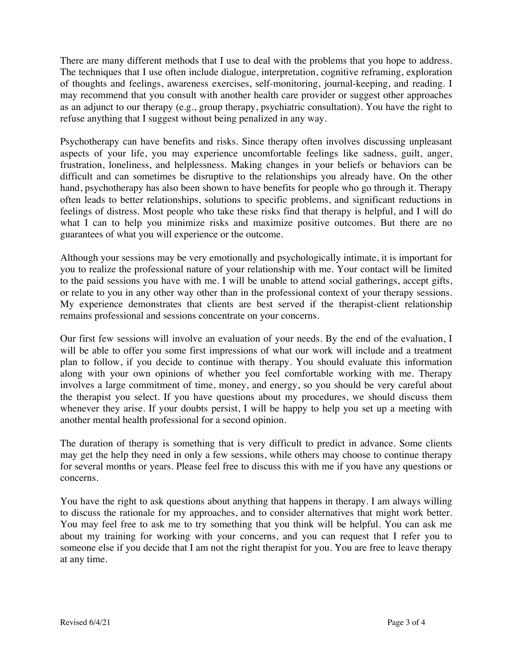There are many different methods that I use to deal with the problems that you hope to address. The techniques that I use often include dialogue, interpretation, cognitive reframing, exploration of thoughts and feelings, awareness exercises, self-monitoring, journal-keeping, and reading. I may recommend that you consult with another health care provider or suggest other approaches as an adjunct to our therapy (e.g., group therapy, psychiatric consultation). You have the right to refuse anything that I suggest without being penalized in any way.

Psychotherapy can have benefits and risks. Since therapy often involves discussing unpleasant aspects of your life, you may experience uncomfortable feelings like sadness, guilt, anger, frustration, loneliness, and helplessness. Making changes in your beliefs or behaviors can be difficult and can sometimes be disruptive to the relationships you already have. On the other hand, psychotherapy has also been shown to have benefits for people who go through it. Therapy often leads to better relationships, solutions to specific problems, and significant reductions in feelings of distress. Most people who take these risks find that therapy is helpful, and I will do what I can to help you minimize risks and maximize positive outcomes. But there are no guarantees of what you will experience or the outcome.

Although your sessions may be very emotionally and psychologically intimate, it is important for you to realize the professional nature of your relationship with me. Your contact will be limited to the paid sessions you have with me. I will be unable to attend social gatherings, accept gifts, or relate to you in any other way other than in the professional context of your therapy sessions. My experience demonstrates that clients are best served if the therapist-client relationship remains professional and sessions concentrate on your concerns.

Our first few sessions will involve an evaluation of your needs. By the end of the evaluation, I will be able to offer you some first impressions of what our work will include and a treatment plan to follow, if you decide to continue with therapy. You should evaluate this information along with your own opinions of whether you feel comfortable working with me. Therapy involves a large commitment of time, money, and energy, so you should be very careful about the therapist you select. If you have questions about my procedures, we should discuss them whenever they arise. If your doubts persist, I will be happy to help you set up a meeting with another mental health professional for a second opinion.

The duration of therapy is something that is very difficult to predict in advance. Some clients may get the help they need in only a few sessions, while others may choose to continue therapy for several months or years. Please feel free to discuss this with me if you have any questions or concerns.

You have the right to ask questions about anything that happens in therapy. I am always willing to discuss the rationale for my approaches, and to consider alternatives that might work better. You may feel free to ask me to try something that you think will be helpful. You can ask me about my training for working with your concerns, and you can request that I refer you to someone else if you decide that I am not the right therapist for you. You are free to leave therapy at any time.